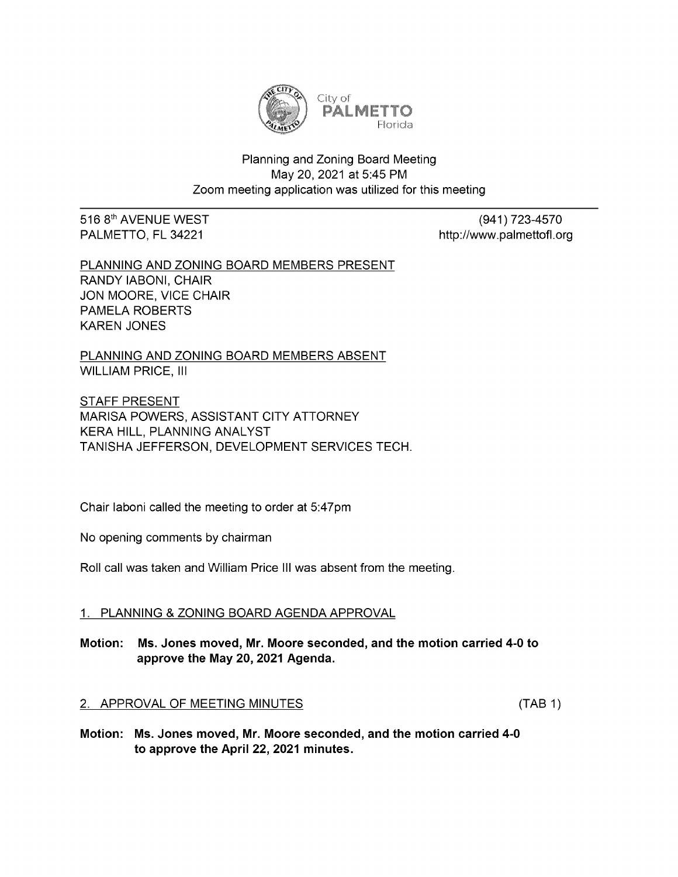

# Planning and Zoning Board Meeting May 20, 2021 at 5:45 PM Zoom meeting application was utilized for this meeting

516 8<sup>th</sup> AVENUE WEST (941) 723-4570

PALMETTO, FL 34221 **http://www.palmettofl.org** 

PLANNING AND ZONING BOARD MEMBERS PRESENT RANDY IABONI, CHAIR JON MOORE, VICE CHAIR PAMELA ROBERTS KAREN JONES

PLANNING AND ZONING BOARD MEMBERS ABSENT WILLIAM PRICE, III

STAFF PRESENT MARISA POWERS, ASSISTANT CITY ATTORNEY KERA HILL, PLANNING ANALYST TANISHA JEFFERSON, DEVELOPMENT SERVICES TECH.

Chair laboni called the meeting to order at 5:47pm

No opening comments by chairman

Roll call was taken and William Price III was absent from the meeting.

# 1. PLANNING & ZONING BOARD AGENDA APPROVAL

Motion: Ms. Jones moved, Mr. Moore seconded, and themotion carried 4-0to approve the May 20, 2021 Agenda.

### 2. APPROVAL OF MEETING MINUTES (TAB 1)

Motion: Ms. Jones moved, Mr. Moore seconded, and the motion carried 4-0 to approve the April 22, 2021 minutes.